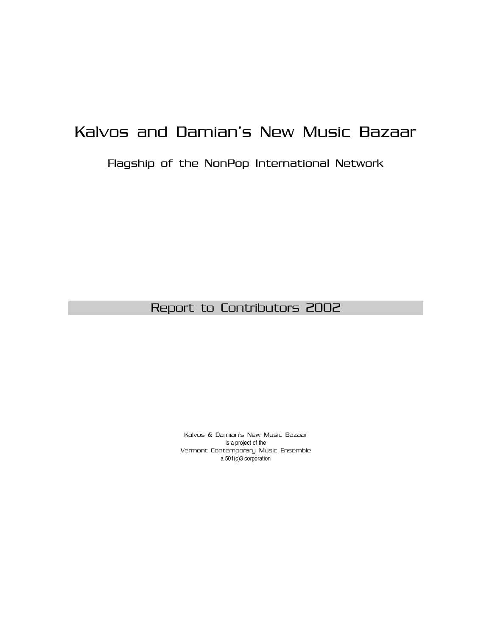# Kalvos and Damian's New Music Bazaar

## Flagship of the NonPop International Network

# Report to Contributors 2002

Kalvos & Damian's New Music Bazaar is a project of the Vermont Contemporary Music Ensemble a 501(c)3 corporation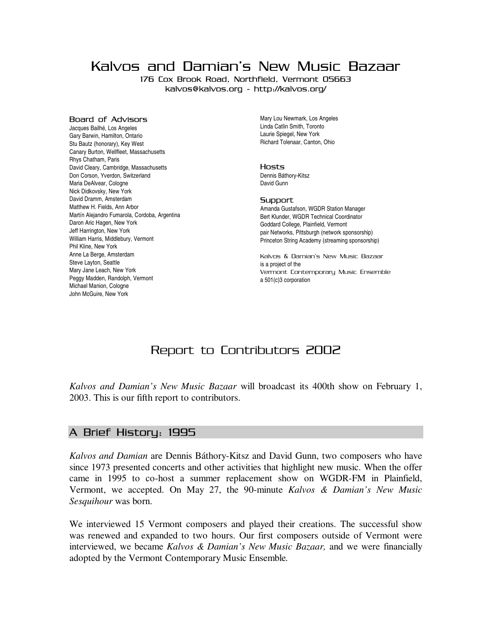Kalvos and Damian's New Music Bazaar

176 Cox Brook Road, Northfield, Vermont 05663 kalvos@kalvos.org - http://kalvos.org/

#### Board of Advisors

Jacques Bailhé, Los Angeles Gary Barwin, Hamilton, Ontario Stu Bautz (honorary), Key West Canary Burton, Wellfleet, Massachusetts Rhys Chatham, Paris David Cleary, Cambridge, Massachusetts Don Corson, Yverdon, Switzerland Maria DeAlvear, Cologne Nick Didkovsky, New York David Dramm, Amsterdam Matthew H. Fields, Ann Arbor Martín Alejandro Fumarola, Cordoba, Argentina Daron Aric Hagen, New York Jeff Harrington, New York William Harris, Middlebury, Vermont Phil Kline, New York Anne La Berge, Amsterdam Steve Layton, Seattle Mary Jane Leach, New York Peggy Madden, Randolph, Vermont Michael Manion, Cologne John McGuire, New York

Mary Lou Newmark, Los Angeles Linda Catlin Smith, Toronto Laurie Spiegel, New York Richard Tolenaar, Canton, Ohio

#### Hosts

Dennis Báthory-Kitsz David Gunn

#### **Support**

Amanda Gustafson, WGDR Station Manager Bert Klunder, WGDR Technical Coordinator Goddard College, Plainfield, Vermont pair Networks, Pittsburgh (network sponsorship) Princeton String Academy (streaming sponsorship)

Kalvos & Damian's New Music Bazaar is a project of the Vermont Contemporary Music Ensemble a 501(c)3 corporation

# Report to Contributors 2002

*Kalvos and Damian's New Music Bazaar* will broadcast its 400th show on February 1, 2003. This is our fifth report to contributors.

#### A Brief History: 1995

*Kalvos and Damian* are Dennis Báthory-Kitsz and David Gunn, two composers who have since 1973 presented concerts and other activities that highlight new music. When the offer came in 1995 to co-host a summer replacement show on WGDR-FM in Plainfield, Vermont, we accepted. On May 27, the 90-minute *Kalvos & Damian's New Music Sesquihour* was born.

We interviewed 15 Vermont composers and played their creations. The successful show was renewed and expanded to two hours. Our first composers outside of Vermont were interviewed, we became *Kalvos & Damian's New Music Bazaar,* and we were financially adopted by the Vermont Contemporary Music Ensemble*.*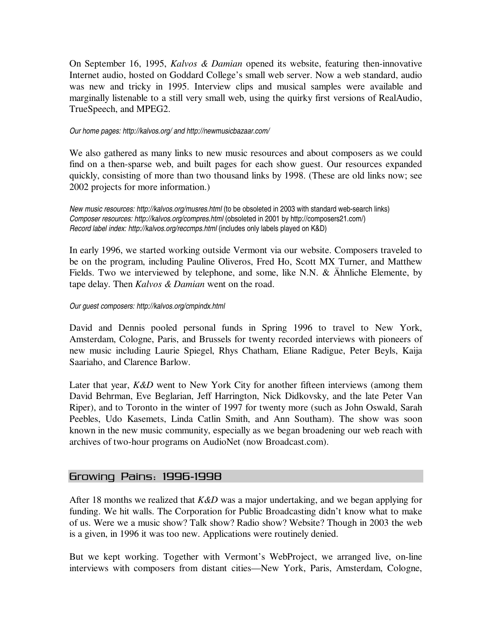On September 16, 1995, *Kalvos & Damian* opened its website, featuring then-innovative Internet audio, hosted on Goddard College's small web server. Now a web standard, audio was new and tricky in 1995. Interview clips and musical samples were available and marginally listenable to a still very small web, using the quirky first versions of RealAudio, TrueSpeech, and MPEG2.

#### *Our home pages: http://kalvos.org/ and http://newmusicbazaar.com/*

We also gathered as many links to new music resources and about composers as we could find on a then-sparse web, and built pages for each show guest. Our resources expanded quickly, consisting of more than two thousand links by 1998. (These are old links now; see 2002 projects for more information.)

*New music resources: http://kalvos.org/musres.html* (to be obsoleted in 2003 with standard web-search links) *Composer resources: http://kalvos.org/compres.html* (obsoleted in 2001 by http://composers21.com/) *Record label index: http://kalvos.org/reccmps.html* (includes only labels played on K&D)

In early 1996, we started working outside Vermont via our website. Composers traveled to be on the program, including Pauline Oliveros, Fred Ho, Scott MX Turner, and Matthew Fields. Two we interviewed by telephone, and some, like N.N. & Ähnliche Elemente, by tape delay. Then *Kalvos & Damian* went on the road.

#### *Our guest composers: http://kalvos.org/cmpindx.html*

David and Dennis pooled personal funds in Spring 1996 to travel to New York, Amsterdam, Cologne, Paris, and Brussels for twenty recorded interviews with pioneers of new music including Laurie Spiegel, Rhys Chatham, Eliane Radigue, Peter Beyls, Kaija Saariaho, and Clarence Barlow.

Later that year, *K&D* went to New York City for another fifteen interviews (among them David Behrman, Eve Beglarian, Jeff Harrington, Nick Didkovsky, and the late Peter Van Riper), and to Toronto in the winter of 1997 for twenty more (such as John Oswald, Sarah Peebles, Udo Kasemets, Linda Catlin Smith, and Ann Southam). The show was soon known in the new music community, especially as we began broadening our web reach with archives of two-hour programs on AudioNet (now Broadcast.com).

#### Growing Pains: 1996-1998

After 18 months we realized that *K&D* was a major undertaking, and we began applying for funding. We hit walls. The Corporation for Public Broadcasting didn't know what to make of us. Were we a music show? Talk show? Radio show? Website? Though in 2003 the web is a given, in 1996 it was too new. Applications were routinely denied.

But we kept working. Together with Vermont's WebProject, we arranged live, on-line interviews with composers from distant cities—New York, Paris, Amsterdam, Cologne,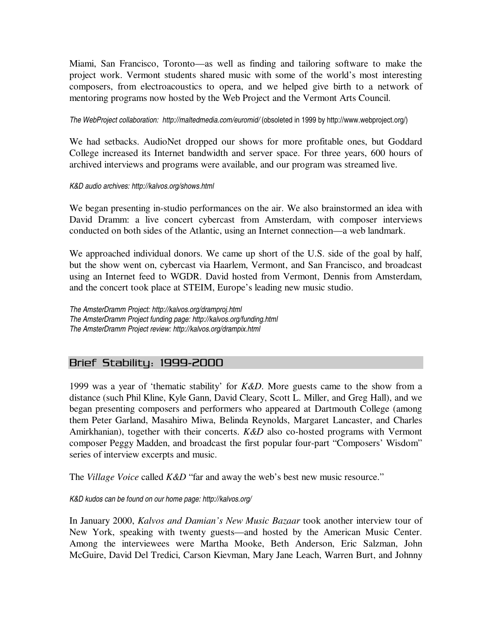Miami, San Francisco, Toronto—as well as finding and tailoring software to make the project work. Vermont students shared music with some of the world's most interesting composers, from electroacoustics to opera, and we helped give birth to a network of mentoring programs now hosted by the Web Project and the Vermont Arts Council.

*The WebProject collaboration: http://maltedmedia.com/euromid/* (obsoleted in 1999 by http://www.webproject.org/)

We had setbacks. AudioNet dropped our shows for more profitable ones, but Goddard College increased its Internet bandwidth and server space. For three years, 600 hours of archived interviews and programs were available, and our program was streamed live.

#### *K&D audio archives: http://kalvos.org/shows.html*

We began presenting in-studio performances on the air. We also brainstormed an idea with David Dramm: a live concert cybercast from Amsterdam, with composer interviews conducted on both sides of the Atlantic, using an Internet connection—a web landmark.

We approached individual donors. We came up short of the U.S. side of the goal by half, but the show went on, cybercast via Haarlem, Vermont, and San Francisco, and broadcast using an Internet feed to WGDR. David hosted from Vermont, Dennis from Amsterdam, and the concert took place at STEIM, Europe's leading new music studio.

*The AmsterDramm Project: http://kalvos.org/dramproj.html The AmsterDramm Project funding page: http://kalvos.org/funding.html The AmsterDramm Project review: http://kalvos.org/drampix.html*

#### Brief Stability: 1999-2000

1999 was a year of 'thematic stability' for *K&D*. More guests came to the show from a distance (such Phil Kline, Kyle Gann, David Cleary, Scott L. Miller, and Greg Hall), and we began presenting composers and performers who appeared at Dartmouth College (among them Peter Garland, Masahiro Miwa, Belinda Reynolds, Margaret Lancaster, and Charles Amirkhanian), together with their concerts. *K&D* also co-hosted programs with Vermont composer Peggy Madden, and broadcast the first popular four-part "Composers' Wisdom" series of interview excerpts and music.

The *Village Voice* called *K&D* "far and away the web's best new music resource."

*K&D kudos can be found on our home page: http://kalvos.org/*

In January 2000, *Kalvos and Damian's New Music Bazaar* took another interview tour of New York, speaking with twenty guests—and hosted by the American Music Center. Among the interviewees were Martha Mooke, Beth Anderson, Eric Salzman, John McGuire, David Del Tredici, Carson Kievman, Mary Jane Leach, Warren Burt, and Johnny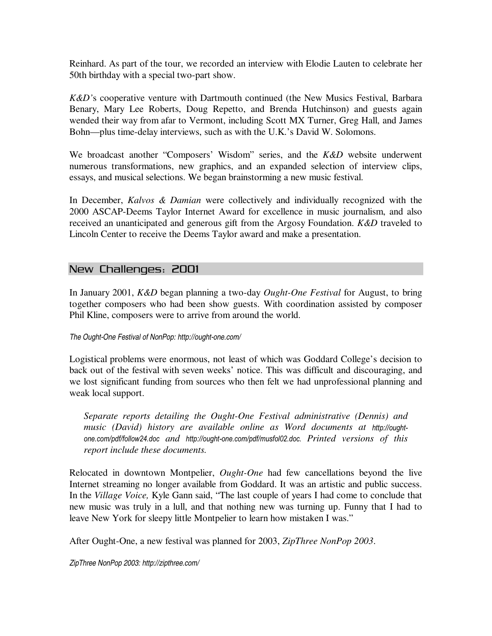Reinhard. As part of the tour, we recorded an interview with Elodie Lauten to celebrate her 50th birthday with a special two-part show.

*K&D'*s cooperative venture with Dartmouth continued (the New Musics Festival, Barbara Benary, Mary Lee Roberts, Doug Repetto, and Brenda Hutchinson) and guests again wended their way from afar to Vermont, including Scott MX Turner, Greg Hall, and James Bohn—plus time-delay interviews, such as with the U.K.'s David W. Solomons.

We broadcast another "Composers' Wisdom" series, and the *K&D* website underwent numerous transformations, new graphics, and an expanded selection of interview clips, essays, and musical selections. We began brainstorming a new music festival.

In December, *Kalvos & Damian* were collectively and individually recognized with the 2000 ASCAP-Deems Taylor Internet Award for excellence in music journalism, and also received an unanticipated and generous gift from the Argosy Foundation. *K&D* traveled to Lincoln Center to receive the Deems Taylor award and make a presentation.

## New Challenges: 2001

In January 2001, *K&D* began planning a two-day *Ought-One Festival* for August, to bring together composers who had been show guests. With coordination assisted by composer Phil Kline, composers were to arrive from around the world.

#### *The Ought-One Festival of NonPop: http://ought-one.com/*

Logistical problems were enormous, not least of which was Goddard College's decision to back out of the festival with seven weeks' notice. This was difficult and discouraging, and we lost significant funding from sources who then felt we had unprofessional planning and weak local support.

*Separate reports detailing the Ought-One Festival administrative (Dennis) and music (David) history are available online as Word documents at http://oughtone.com/pdf/follow24.doc and http://ought-one.com/pdf/musfol02.doc. Printed versions of this report include these documents.*

Relocated in downtown Montpelier, *Ought-One* had few cancellations beyond the live Internet streaming no longer available from Goddard. It was an artistic and public success. In the *Village Voice,* Kyle Gann said, "The last couple of years I had come to conclude that new music was truly in a lull, and that nothing new was turning up. Funny that I had to leave New York for sleepy little Montpelier to learn how mistaken I was."

After Ought-One, a new festival was planned for 2003, *ZipThree NonPop 2003*.

*ZipThree NonPop 2003: http://zipthree.com/*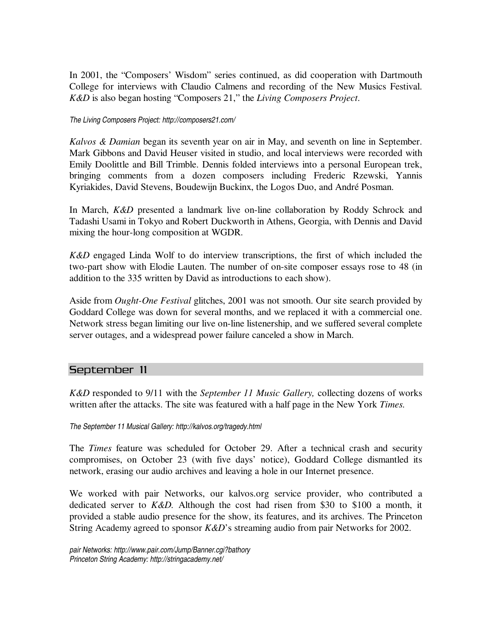In 2001, the "Composers' Wisdom" series continued, as did cooperation with Dartmouth College for interviews with Claudio Calmens and recording of the New Musics Festival. *K&D* is also began hosting "Composers 21," the *Living Composers Project*.

#### *The Living Composers Project: http://composers21.com/*

*Kalvos & Damian* began its seventh year on air in May, and seventh on line in September. Mark Gibbons and David Heuser visited in studio, and local interviews were recorded with Emily Doolittle and Bill Trimble. Dennis folded interviews into a personal European trek, bringing comments from a dozen composers including Frederic Rzewski, Yannis Kyriakides, David Stevens, Boudewijn Buckinx, the Logos Duo, and André Posman.

In March, *K&D* presented a landmark live on-line collaboration by Roddy Schrock and Tadashi Usami in Tokyo and Robert Duckworth in Athens, Georgia, with Dennis and David mixing the hour-long composition at WGDR.

*K&D* engaged Linda Wolf to do interview transcriptions, the first of which included the two-part show with Elodie Lauten. The number of on-site composer essays rose to 48 (in addition to the 335 written by David as introductions to each show).

Aside from *Ought-One Festival* glitches, 2001 was not smooth. Our site search provided by Goddard College was down for several months, and we replaced it with a commercial one. Network stress began limiting our live on-line listenership, and we suffered several complete server outages, and a widespread power failure canceled a show in March.

#### September 11

*K&D* responded to 9/11 with the *September 11 Music Gallery,* collecting dozens of works written after the attacks. The site was featured with a half page in the New York *Times.*

*The September 11 Musical Gallery: http://kalvos.org/tragedy.html*

The *Times* feature was scheduled for October 29. After a technical crash and security compromises, on October 23 (with five days' notice), Goddard College dismantled its network, erasing our audio archives and leaving a hole in our Internet presence.

We worked with pair Networks, our kalvos.org service provider, who contributed a dedicated server to *K&D.* Although the cost had risen from \$30 to \$100 a month, it provided a stable audio presence for the show, its features, and its archives. The Princeton String Academy agreed to sponsor *K&D*'s streaming audio from pair Networks for 2002.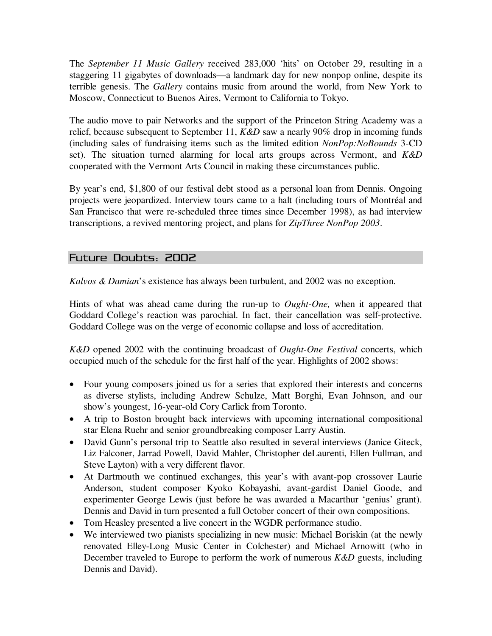The *September 11 Music Gallery* received 283,000 'hits' on October 29, resulting in a staggering 11 gigabytes of downloads—a landmark day for new nonpop online, despite its terrible genesis. The *Gallery* contains music from around the world, from New York to Moscow, Connecticut to Buenos Aires, Vermont to California to Tokyo.

The audio move to pair Networks and the support of the Princeton String Academy was a relief, because subsequent to September 11, *K&D* saw a nearly 90% drop in incoming funds (including sales of fundraising items such as the limited edition *NonPop:NoBounds* 3-CD set). The situation turned alarming for local arts groups across Vermont, and *K&D* cooperated with the Vermont Arts Council in making these circumstances public.

By year's end, \$1,800 of our festival debt stood as a personal loan from Dennis. Ongoing projects were jeopardized. Interview tours came to a halt (including tours of Montréal and San Francisco that were re-scheduled three times since December 1998), as had interview transcriptions, a revived mentoring project, and plans for *ZipThree NonPop 2003*.

## Future Doubts: 2002

*Kalvos & Damian*'s existence has always been turbulent, and 2002 was no exception.

Hints of what was ahead came during the run-up to *Ought-One,* when it appeared that Goddard College's reaction was parochial. In fact, their cancellation was self-protective. Goddard College was on the verge of economic collapse and loss of accreditation.

*K&D* opened 2002 with the continuing broadcast of *Ought-One Festival* concerts, which occupied much of the schedule for the first half of the year. Highlights of 2002 shows:

- Four young composers joined us for a series that explored their interests and concerns as diverse stylists, including Andrew Schulze, Matt Borghi, Evan Johnson, and our show's youngest, 16-year-old Cory Carlick from Toronto.
- A trip to Boston brought back interviews with upcoming international compositional star Elena Ruehr and senior groundbreaking composer Larry Austin.
- David Gunn's personal trip to Seattle also resulted in several interviews (Janice Giteck, Liz Falconer, Jarrad Powell, David Mahler, Christopher deLaurenti, Ellen Fullman, and Steve Layton) with a very different flavor.
- At Dartmouth we continued exchanges, this year's with avant-pop crossover Laurie Anderson, student composer Kyoko Kobayashi, avant-gardist Daniel Goode, and experimenter George Lewis (just before he was awarded a Macarthur 'genius' grant). Dennis and David in turn presented a full October concert of their own compositions.
- Tom Heasley presented a live concert in the WGDR performance studio.
- We interviewed two pianists specializing in new music: Michael Boriskin (at the newly renovated Elley-Long Music Center in Colchester) and Michael Arnowitt (who in December traveled to Europe to perform the work of numerous *K&D* guests, including Dennis and David).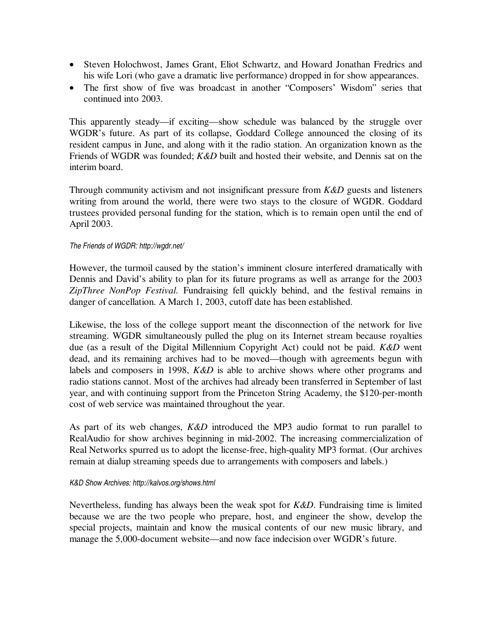- Steven Holochwost, James Grant, Eliot Schwartz, and Howard Jonathan Fredrics and his wife Lori (who gave a dramatic live performance) dropped in for show appearances.
- The first show of five was broadcast in another "Composers' Wisdom" series that continued into 2003.

This apparently steady—if exciting—show schedule was balanced by the struggle over WGDR's future. As part of its collapse, Goddard College announced the closing of its resident campus in June, and along with it the radio station. An organization known as the Friends of WGDR was founded; *K&D* built and hosted their website, and Dennis sat on the interim board.

Through community activism and not insignificant pressure from *K&D* guests and listeners writing from around the world, there were two stays to the closure of WGDR. Goddard trustees provided personal funding for the station, which is to remain open until the end of April 2003.

#### *The Friends of WGDR: http://wgdr.net/*

However, the turmoil caused by the station's imminent closure interfered dramatically with Dennis and David's ability to plan for its future programs as well as arrange for the 2003 *ZipThree NonPop Festival.* Fundraising fell quickly behind, and the festival remains in danger of cancellation. A March 1, 2003, cutoff date has been established.

Likewise, the loss of the college support meant the disconnection of the network for live streaming. WGDR simultaneously pulled the plug on its Internet stream because royalties due (as a result of the Digital Millennium Copyright Act) could not be paid. *K&D* went dead, and its remaining archives had to be moved—though with agreements begun with labels and composers in 1998, *K&D* is able to archive shows where other programs and radio stations cannot. Most of the archives had already been transferred in September of last year, and with continuing support from the Princeton String Academy, the \$120-per-month cost of web service was maintained throughout the year.

As part of its web changes, *K&D* introduced the MP3 audio format to run parallel to RealAudio for show archives beginning in mid-2002. The increasing commercialization of Real Networks spurred us to adopt the license-free, high-quality MP3 format. (Our archives remain at dialup streaming speeds due to arrangements with composers and labels.)

#### *K&D Show Archives: http://kalvos.org/shows.html*

Nevertheless, funding has always been the weak spot for *K&D*. Fundraising time is limited because we are the two people who prepare, host, and engineer the show, develop the special projects, maintain and know the musical contents of our new music library, and manage the 5,000-document website—and now face indecision over WGDR's future.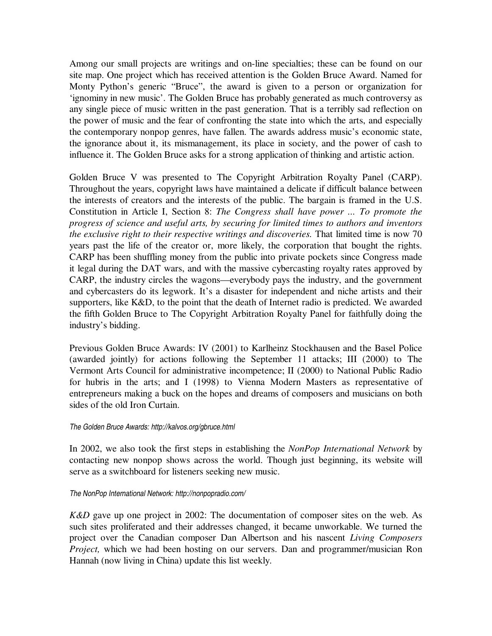Among our small projects are writings and on-line specialties; these can be found on our site map. One project which has received attention is the Golden Bruce Award. Named for Monty Python's generic "Bruce", the award is given to a person or organization for 'ignominy in new music'. The Golden Bruce has probably generated as much controversy as any single piece of music written in the past generation. That is a terribly sad reflection on the power of music and the fear of confronting the state into which the arts, and especially the contemporary nonpop genres, have fallen. The awards address music's economic state, the ignorance about it, its mismanagement, its place in society, and the power of cash to influence it. The Golden Bruce asks for a strong application of thinking and artistic action.

Golden Bruce V was presented to The Copyright Arbitration Royalty Panel (CARP). Throughout the years, copyright laws have maintained a delicate if difficult balance between the interests of creators and the interests of the public. The bargain is framed in the U.S. Constitution in Article I, Section 8: *The Congress shall have power ... To promote the progress of science and useful arts, by securing for limited times to authors and inventors the exclusive right to their respective writings and discoveries.* That limited time is now 70 years past the life of the creator or, more likely, the corporation that bought the rights. CARP has been shuffling money from the public into private pockets since Congress made it legal during the DAT wars, and with the massive cybercasting royalty rates approved by CARP, the industry circles the wagons—everybody pays the industry, and the government and cybercasters do its legwork. It's a disaster for independent and niche artists and their supporters, like K&D, to the point that the death of Internet radio is predicted. We awarded the fifth Golden Bruce to The Copyright Arbitration Royalty Panel for faithfully doing the industry's bidding.

Previous Golden Bruce Awards: IV (2001) to Karlheinz Stockhausen and the Basel Police (awarded jointly) for actions following the September 11 attacks; III (2000) to The Vermont Arts Council for administrative incompetence; II (2000) to National Public Radio for hubris in the arts; and I (1998) to Vienna Modern Masters as representative of entrepreneurs making a buck on the hopes and dreams of composers and musicians on both sides of the old Iron Curtain.

#### *The Golden Bruce Awards: http://kalvos.org/gbruce.html*

In 2002, we also took the first steps in establishing the *NonPop International Network* by contacting new nonpop shows across the world. Though just beginning, its website will serve as a switchboard for listeners seeking new music.

#### *The NonPop International Network: http://nonpopradio.com/*

*K&D* gave up one project in 2002: The documentation of composer sites on the web. As such sites proliferated and their addresses changed, it became unworkable. We turned the project over the Canadian composer Dan Albertson and his nascent *Living Composers Project,* which we had been hosting on our servers. Dan and programmer/musician Ron Hannah (now living in China) update this list weekly.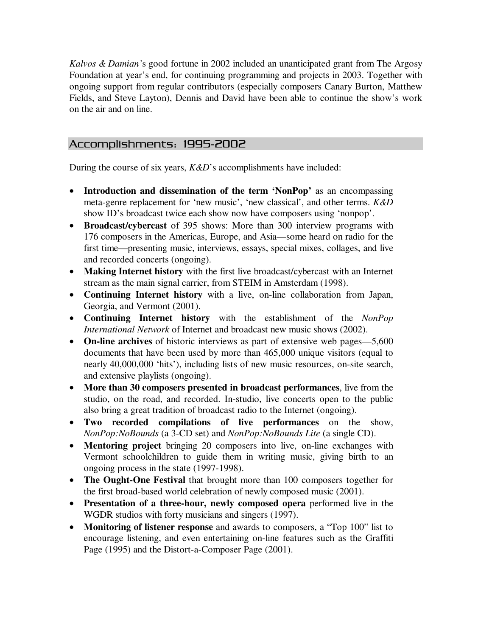*Kalvos & Damian'*s good fortune in 2002 included an unanticipated grant from The Argosy Foundation at year's end, for continuing programming and projects in 2003. Together with ongoing support from regular contributors (especially composers Canary Burton, Matthew Fields, and Steve Layton), Dennis and David have been able to continue the show's work on the air and on line.

## Accomplishments: 1995-2002

During the course of six years, *K&D*'s accomplishments have included:

- **Introduction and dissemination of the term 'NonPop'** as an encompassing meta-genre replacement for 'new music', 'new classical', and other terms. *K&D* show ID's broadcast twice each show now have composers using 'nonpop'.
- **Broadcast/cybercast** of 395 shows: More than 300 interview programs with 176 composers in the Americas, Europe, and Asia—some heard on radio for the first time—presenting music, interviews, essays, special mixes, collages, and live and recorded concerts (ongoing).
- **Making Internet history** with the first live broadcast/cybercast with an Internet stream as the main signal carrier, from STEIM in Amsterdam (1998).
- **Continuing Internet history** with a live, on-line collaboration from Japan, Georgia, and Vermont (2001).
- **Continuing Internet history** with the establishment of the *NonPop International Network* of Internet and broadcast new music shows (2002).
- **On-line archives** of historic interviews as part of extensive web pages—5,600 documents that have been used by more than 465,000 unique visitors (equal to nearly 40,000,000 'hits'), including lists of new music resources, on-site search, and extensive playlists (ongoing).
- **More than 30 composers presented in broadcast performances**, live from the studio, on the road, and recorded. In-studio, live concerts open to the public also bring a great tradition of broadcast radio to the Internet (ongoing).
- **Two recorded compilations of live performances** on the show, *NonPop:NoBounds* (a 3-CD set) and *NonPop:NoBounds Lite* (a single CD).
- **Mentoring project** bringing 20 composers into live, on-line exchanges with Vermont schoolchildren to guide them in writing music, giving birth to an ongoing process in the state (1997-1998).
- **The Ought-One Festival** that brought more than 100 composers together for the first broad-based world celebration of newly composed music (2001).
- **Presentation of a three-hour, newly composed opera** performed live in the WGDR studios with forty musicians and singers (1997).
- **Monitoring of listener response** and awards to composers, a "Top 100" list to encourage listening, and even entertaining on-line features such as the Graffiti Page (1995) and the Distort-a-Composer Page (2001).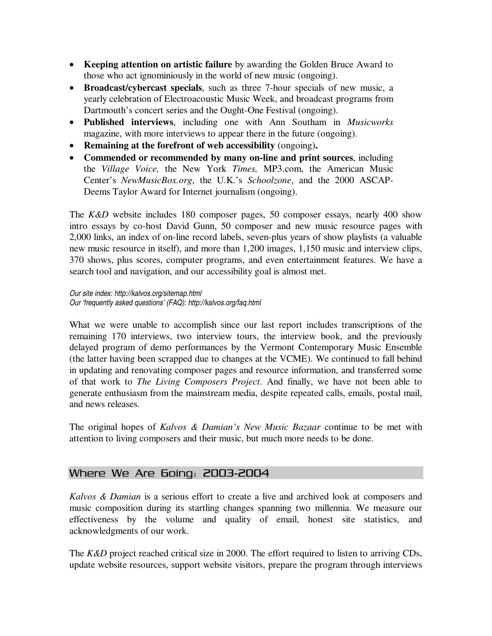- **Keeping attention on artistic failure** by awarding the Golden Bruce Award to those who act ignominiously in the world of new music (ongoing).
- **Broadcast/cybercast specials**, such as three 7-hour specials of new music, a yearly celebration of Electroacoustic Music Week, and broadcast programs from Dartmouth's concert series and the Ought-One Festival (ongoing).
- **Published interviews**, including one with Ann Southam in *Musicworks* magazine, with more interviews to appear there in the future (ongoing).
- **Remaining at the forefront of web accessibility** (ongoing)**.**
- **Commended or recommended by many on-line and print sources**, including the *Village Voice,* the New York *Times,* MP3.com, the American Music Center's *NewMusicBox.org*, the U.K.'s *Schoolzone*, and the 2000 ASCAP-Deems Taylor Award for Internet journalism (ongoing).

The *K&D* website includes 180 composer pages, 50 composer essays, nearly 400 show intro essays by co-host David Gunn, 50 composer and new music resource pages with 2,000 links, an index of on-line record labels, seven-plus years of show playlists (a valuable new music resource in itself), and more than 1,200 images, 1,150 music and interview clips, 370 shows, plus scores, computer programs, and even entertainment features. We have a search tool and navigation, and our accessibility goal is almost met.

*Our site index: http://kalvos.org/sitemap.html Our 'frequently asked questions' (FAQ): http://kalvos.org/faq.html*

What we were unable to accomplish since our last report includes transcriptions of the remaining 170 interviews, two interview tours, the interview book, and the previously delayed program of demo performances by the Vermont Contemporary Music Ensemble (the latter having been scrapped due to changes at the VCME). We continued to fall behind in updating and renovating composer pages and resource information, and transferred some of that work to *The Living Composers Project*. And finally, we have not been able to generate enthusiasm from the mainstream media, despite repeated calls, emails, postal mail, and news releases.

The original hopes of *Kalvos & Damian's New Music Bazaar* continue to be met with attention to living composers and their music, but much more needs to be done.

## Where We Are Going: 2003-2004

*Kalvos & Damian* is a serious effort to create a live and archived look at composers and music composition during its startling changes spanning two millennia. We measure our effectiveness by the volume and quality of email, honest site statistics, and acknowledgments of our work.

The *K&D* project reached critical size in 2000. The effort required to listen to arriving CDs, update website resources, support website visitors, prepare the program through interviews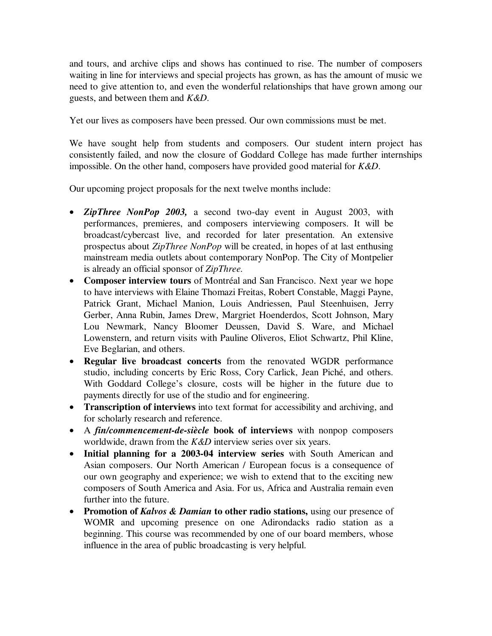and tours, and archive clips and shows has continued to rise. The number of composers waiting in line for interviews and special projects has grown, as has the amount of music we need to give attention to, and even the wonderful relationships that have grown among our guests, and between them and *K&D*.

Yet our lives as composers have been pressed. Our own commissions must be met.

We have sought help from students and composers. Our student intern project has consistently failed, and now the closure of Goddard College has made further internships impossible. On the other hand, composers have provided good material for *K&D*.

Our upcoming project proposals for the next twelve months include:

- *ZipThree NonPop 2003,* a second two-day event in August 2003, with performances, premieres, and composers interviewing composers. It will be broadcast/cybercast live, and recorded for later presentation. An extensive prospectus about *ZipThree NonPop* will be created, in hopes of at last enthusing mainstream media outlets about contemporary NonPop. The City of Montpelier is already an official sponsor of *ZipThree.*
- **Composer interview tours** of Montréal and San Francisco. Next year we hope to have interviews with Elaine Thomazi Freitas, Robert Constable, Maggi Payne, Patrick Grant, Michael Manion, Louis Andriessen, Paul Steenhuisen, Jerry Gerber, Anna Rubin, James Drew, Margriet Hoenderdos, Scott Johnson, Mary Lou Newmark, Nancy Bloomer Deussen, David S. Ware, and Michael Lowenstern, and return visits with Pauline Oliveros, Eliot Schwartz, Phil Kline, Eve Beglarian, and others.
- **Regular live broadcast concerts** from the renovated WGDR performance studio, including concerts by Eric Ross, Cory Carlick, Jean Piché, and others. With Goddard College's closure, costs will be higher in the future due to payments directly for use of the studio and for engineering.
- **Transcription of interviews** into text format for accessibility and archiving, and for scholarly research and reference.
- A *fin/commencement-de-siècle* **book of interviews** with nonpop composers worldwide, drawn from the *K&D* interview series over six years.
- **Initial planning for a 2003-04 interview series** with South American and Asian composers. Our North American / European focus is a consequence of our own geography and experience; we wish to extend that to the exciting new composers of South America and Asia. For us, Africa and Australia remain even further into the future.
- **Promotion of** *Kalvos & Damian* **to other radio stations,** using our presence of WOMR and upcoming presence on one Adirondacks radio station as a beginning. This course was recommended by one of our board members, whose influence in the area of public broadcasting is very helpful.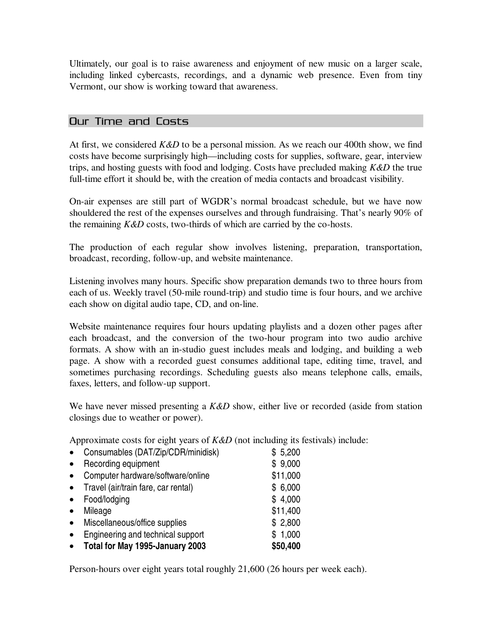Ultimately, our goal is to raise awareness and enjoyment of new music on a larger scale, including linked cybercasts, recordings, and a dynamic web presence. Even from tiny Vermont, our show is working toward that awareness.

## Our Time and Costs

At first, we considered *K&D* to be a personal mission. As we reach our 400th show, we find costs have become surprisingly high—including costs for supplies, software, gear, interview trips, and hosting guests with food and lodging. Costs have precluded making *K&D* the true full-time effort it should be, with the creation of media contacts and broadcast visibility.

On-air expenses are still part of WGDR's normal broadcast schedule, but we have now shouldered the rest of the expenses ourselves and through fundraising. That's nearly 90% of the remaining *K&D* costs, two-thirds of which are carried by the co-hosts.

The production of each regular show involves listening, preparation, transportation, broadcast, recording, follow-up, and website maintenance.

Listening involves many hours. Specific show preparation demands two to three hours from each of us. Weekly travel (50-mile round-trip) and studio time is four hours, and we archive each show on digital audio tape, CD, and on-line.

Website maintenance requires four hours updating playlists and a dozen other pages after each broadcast, and the conversion of the two-hour program into two audio archive formats. A show with an in-studio guest includes meals and lodging, and building a web page. A show with a recorded guest consumes additional tape, editing time, travel, and sometimes purchasing recordings. Scheduling guests also means telephone calls, emails, faxes, letters, and follow-up support.

We have never missed presenting a *K&D* show, either live or recorded (aside from station closings due to weather or power).

Approximate costs for eight years of *K&D* (not including its festivals) include:

| $\bullet$ | Consumables (DAT/Zip/CDR/minidisk)  | \$5,200  |
|-----------|-------------------------------------|----------|
| $\bullet$ | Recording equipment                 | \$9,000  |
| $\bullet$ | Computer hardware/software/online   | \$11,000 |
| $\bullet$ | Travel (air/train fare, car rental) | \$6,000  |
| $\bullet$ | Food/lodging                        | \$4,000  |
| $\bullet$ | Mileage                             | \$11,400 |
| $\bullet$ | Miscellaneous/office supplies       | \$2,800  |
| $\bullet$ | Engineering and technical support   | \$1,000  |
| $\bullet$ | Total for May 1995-January 2003     | \$50,400 |

Person-hours over eight years total roughly 21,600 (26 hours per week each).